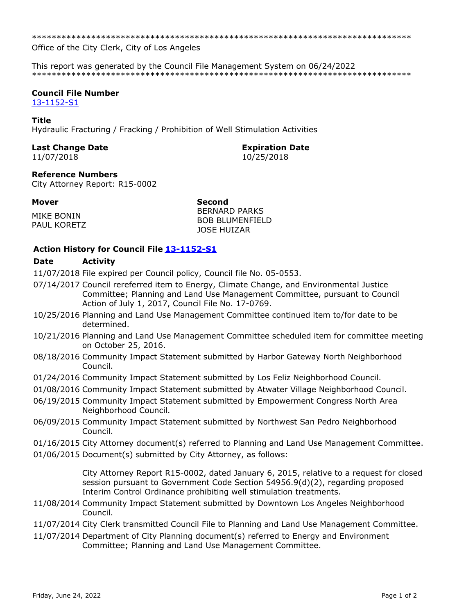Office of the City Clerk, City of Los Angeles

This report was generated by the Council File Management System on 06/24/2022 

# **Council File Number**

13-1152-S1

#### **Title**

Hydraulic Fracturing / Fracking / Prohibition of Well Stimulation Activities

### **Last Change Date**

11/07/2018

# **Expiration Date**

10/25/2018

## **Reference Numbers**

City Attorney Report: R15-0002

#### **Mover**

MIKE BONIN PAUL KORETZ

**Second BERNARD PARKS BOB BLUMENFIELD JOSE HUIZAR** 

## **Action History for Council File 13-1152-S1**

#### **Date Activity**

11/07/2018 File expired per Council policy, Council file No. 05-0553.

- 07/14/2017 Council rereferred item to Energy, Climate Change, and Environmental Justice Committee; Planning and Land Use Management Committee, pursuant to Council Action of July 1, 2017, Council File No. 17-0769.
- 10/25/2016 Planning and Land Use Management Committee continued item to/for date to be determined.
- 10/21/2016 Planning and Land Use Management Committee scheduled item for committee meeting on October 25, 2016.
- 08/18/2016 Community Impact Statement submitted by Harbor Gateway North Neighborhood Council.
- 01/24/2016 Community Impact Statement submitted by Los Feliz Neighborhood Council.
- 01/08/2016 Community Impact Statement submitted by Atwater Village Neighborhood Council.
- 06/19/2015 Community Impact Statement submitted by Empowerment Congress North Area Neighborhood Council.
- 06/09/2015 Community Impact Statement submitted by Northwest San Pedro Neighborhood Council.
- 01/16/2015 City Attorney document(s) referred to Planning and Land Use Management Committee.
- 01/06/2015 Document(s) submitted by City Attorney, as follows:

City Attorney Report R15-0002, dated January 6, 2015, relative to a request for closed session pursuant to Government Code Section 54956.9(d)(2), regarding proposed Interim Control Ordinance prohibiting well stimulation treatments.

- 11/08/2014 Community Impact Statement submitted by Downtown Los Angeles Neighborhood Council.
- 11/07/2014 City Clerk transmitted Council File to Planning and Land Use Management Committee.
- 11/07/2014 Department of City Planning document(s) referred to Energy and Environment Committee; Planning and Land Use Management Committee.